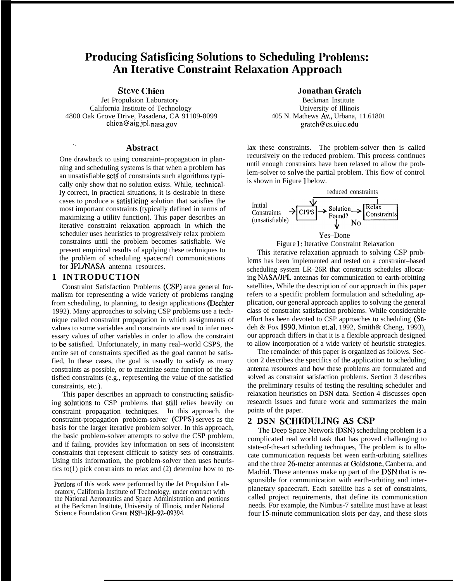# **Producing Satisficing Solutions to Scheduling Problems: An Iterative Constraint Relaxation Approach**

**Steve Chicn**

Jet Propulsion Laboratory California Institute of Technology 4800 Oak Grove Drive, Pasadena, CA 91109-8099 chien@aig.jpl. nasa.gov

### . . **Abstract**

One drawback to using constraint–propagation in planning and scheduling systems is that when a problem has an unsatisfiable set\$ of constraints such algorithms typically only show that no solution exists. While, technically correct, in practical situations, it is desirable in these cases to produce a satisficing solution that satisfies the most important constraints (typically defined in terms of maximizing a utility function). This paper describes an iterative constraint relaxation approach in which the scheduler uses heuristics to progressively relax problem constraints until the problem becomes satisfiable. We present empirical results of applying these techniques to the problem of scheduling spacecraft communications for **JPL/NASA** antenna resources.

## **1 INTRODUCTION**

Constraint Satisfaction Problems (CSP) area general formalism for representing a wide variety of problems ranging from scheduling, to planning, to design applications (Dechter 1992). Many approaches to solving CSP problems use a technique called constraint propagation in which assignments of values to some variables and constraints are used to infer necessary values of other variables in order to allow the constraint to bc satisfied. Unfortunately, in many real–world CSPS, the entire set of constraints specified as the goal cannot be satisfied, In these cases, the goal is usually to satisfy as many constraints as possible, or to maximize some function of the satisfied constraints (e.g., representing the value of the satisfied constraints, etc.).

This paper describes an approach to constructing satisficing solutions to CSP problems that still relies heavily on constraint propagation techniques. In this approach, the constraint-propagation problem-solver (CPPS) serves as the basis for the larger iterative problem solver. In this approach, the basic problem-solver attempts to solve the CSP problem, and if failing, provides key information on sets of inconsistent constraints that represent difficult to satisfy sets of constraints. Using this information, the problem-solver then uses heuristics to(1) pick constraints to relax and (2) determine how to re**Jonathan Gratch**

Beckman Institute University of Illinois 405 N. Mathews Av,, Urbana, 11.61801 gratch@cs.uiuc.edu

lax these constraints. The problem-solver then is called recursively on the reduced problem. This process continues until enough constraints have been relaxed to allow the problem-solver to solve the partial problem. This flow of control is shown in Figure 1 below.



Figure 1: Iterative Constraint Relaxation

This iterative relaxation approach to solving CSP problems has been implemented and tested on a constraint–based scheduling system LR–26R that constructs schedules allocating NASA/JPL antennas for communication to earth-orbitting satellites, While the description of our approach in this paper refers to a specific problem formulation and scheduling application, our general approach applies to solving the general class of constraint satisfaction problems. While considerable effort has been devoted to CSP approaches to scheduling (Sadeh & Fox 1990, Minton et, al, 1992, Smith& Cheng, 1993), our approach differs in that it is a flexible approach designed to allow incorporation of a wide variety of heuristic strategies.

The remainder of this paper is organized as follows. Section 2 describes the specifics of the application to scheduling antenna resources and how these problems are formulated and solved as constraint satisfaction problems. Section 3 describes the preliminary results of testing the resulting scheduler and relaxation heuristics on DSN data. Section 4 discusses open research issues and future work and summarizes the main points of the paper.

# **2 DSN SCHEDULING AS CSP**

The Deep Space Network (DSN) scheduling problem is a complicated real world task that has proved challenging to state-of-the-art scheduling techniques, The problem is to allocate communication requests bet ween earth-orbiting satellites and the three 26-meter antennas at Goldstone, Canberra, and Madrid. These antennas make up part of the DSN that is responsible for communication with earth-orbiting and interplanetary spacecraft. Each satellite has a set of constraints, called project requirements, that define its communication needs. For example, the Nimbus-7 satellite must have at least four 15-minute communication slots per day, and these slots

Portions of this work were performed by the Jet Propulsion Laboratory, California Institute of Technology, under contract with the National Aeronautics and Space Administration and portions at the Beckman Institute, University of Illinois, under National Science Foundation Grant NSF–lR1-92-09394.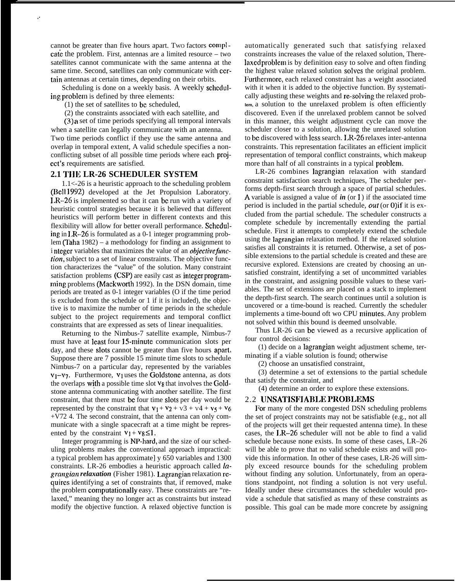cannot be greater than five hours apart. Two factors complcate the problem. First, antennas are a limited resource – two satellites cannot communicate with the same antenna at the same time. Second, satellites can only communicate with certain antennas at certain times, depending on their orbits.

Scheduling is done on a weekly basis. A weekly scheduling problcm is defined by three elements:

(1) the set of satellites to bc scheduled,

. .

(2) the constraints associated with each satellite, and

(3) a set of time periods specifying all temporal intervals when a satellite can legally communicate with an antenna. Two time periods conflict if they use the same antenna and overlap in temporal extent, A valid schedule specifies a nonconflicting subset of all possible time periods where each project's requirements are satisfied.

### **2.1 TIIE LR-26 SCHEDULER SYSTEM**

1.1<-26 is a heuristic approach to the scheduling problem (Bell 1992) developed at the Jet Propulsion Laboratory. 1.R–26 is implemented so that it can bc run with a variety of heuristic control strategies because it is believed that different heuristics will perform better in different contexts and this flexibility will allow for better overall performance. Scheduling in 1.R–26 is formulated as a 0-1 integer programming problem (Taha 1982) – a methodology for finding an assignment to i nteger variables that maximizes the value of an *objective function*, subject to a set of linear constraints. The objective function characterizes the "value" of the solution. Many constraint satisfaction problems (CSP) are easily cast as integer programming problems (Mackworth 1992). In the DSN domain, time periods are treated as 0-1 integer variables (O if the time period is excluded from the schedule or 1 if it is included), the objective is to maximize the number of time periods in the schedule subject to the project requirements and temporal conflict constraints that are expressed as sets of linear inequalities.

Returning to the Nimbus-7 satellite example, Nimbus-7 must have at least four 15-minute communication slots per day, and these slots cannot be greater than five hours apart, Suppose there are 7 possible 15 minute time slots to schedule Nimbus-7 on a particular day, represented by the variables  $v_1-v_7$ . Furthermore,  $v_1$  uses the Goldstone antenna, as dots the overlaps with a possible time slot Vg that involves the Goldstone antenna communicating with another satellite. The first constraint, that there must bc four time slots per day would be represented by the constraint that  $v_1 + v_2 + v_3 + v_4 + v_5 + v_6$ +V72 4. The second constraint, that the antenna can only communicate with a single spacecraft at a time might be represented by the constraint  $v_1 + v_8 \le 1$ .

Integer programming is NP-hard, and the size of our scheduling problems makes the conventional approach impractical: a typical problem has approximate] y 650 variables and 1300 constraints. LR-26 embodies a heuristic approach called  $la$ *grangian relaxation* (Fisher 1981). Lagrangian relaxation requires identifying a set of constraints that, if removed, make the problem computationally easy. These constraints are "relaxed," meaning they no longer act as constraints but instead modify the objective function. A relaxed objective function is automatically generated such that satisfying relaxed constraints increases the value of the relaxed solution, Therelaxed problem is by definition easy to solve and often finding the highest value relaxed solution SOIVCS the original problem. Furthermore, each relaxed constraint has a weight associated with it when it is added to the objective function. By systematically adjusting these weights and re-solving the relaxed prob**lem,** a solution to the unrelaxed problem is often efficiently discovered. Even if the unrelaxed problem cannot be solved in this manner, this weight adjustment cycle can move the scheduler closer to a solution, allowing the unrelaxed solution to be discovered with less search. LR-26 relaxes inter-antenna constraints. This representation facilitates an efficient implicit representation of temporal conflict constraints, which makeup more than half of all constraints in a typical problem.

LR-26 combines lagrangian relaxation with standard constraint satisfaction search techniques, The scheduler performs depth-first search through a space of partial schedules. A variable is assigned a value of *in* (or 1 ) if the associated time period is included in the partial schedule,  $out$  (or 0)if it is excluded from the partial schedule. The scheduler constructs a complete schedule by incrementally extending the partial schedule. First it attempts to completely extend the schedule using the lagrangian relaxation method. If the relaxed solution satisfies all constraints it is returned. Otherwise, a set of possible extensions to the partial schedule is created and these are recursive explored. Extensions are created by choosing an unsatisfied constraint, identifying a set of uncommitted variables in the constraint, and assigning possible values to these variables. The set of extensions are placed on a stack to implement the depth-first search. The search continues until a solution is uncovered or a time-bound is reached. Currently the scheduler implements a time-bound oft wo CPU minutes. Any problem not solved within this bound is deemed unsolvable.

Thus LR-26 can be viewed as a recursive application of four control decisions:

(1) decide on a lagrangian weight adjustment scheme, terminating if a viable solution is found; otherwise

(2) choose an unsatisfied constraint,

(3) determine a set of extensions to the partial schedule that satisfy the constraint, and

(4) determine an order to explore these extensions.

### 2.2 UNSATISFIABLE PROBLEMS

For many of the more congested DSN scheduling problems the set of project constraints may not be satisfiable (e.g., not all of the projects will get their requested antenna time). In these cases, the LR-26 scheduler will not be able to find a valid schedule because none exists. In some of these cases, LR–26 will be able to prove that no valid schedule exists and will provide this information. In other of these cases, LR-26 will simply exceed resource bounds for the scheduling problem without finding any solution. Unfortunately, from an operations standpoint, not finding a solution is not very useful. Ideally under these circumstances the scheduler would provide a schedule that satisfied as many of these constraints as possible. This goal can be made more concrete by assigning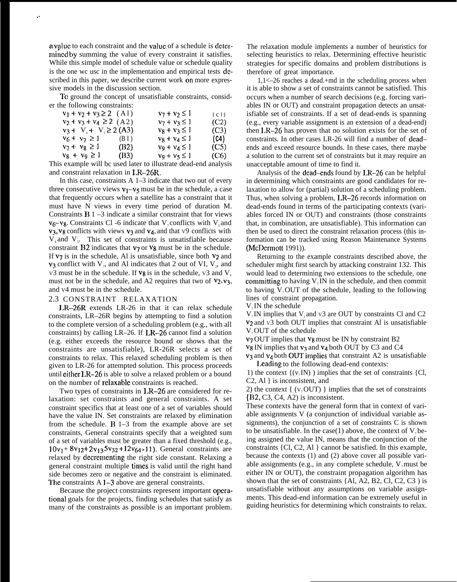a value to each constraint and the value of a schedule is determincd by summing the value of every constraint it satisfies. While this simple model of schedule value or schedule quality is the one wc usc in the implementation and empirical tests described in this paper, we describe current work on more expressive models in the discussion section.

.,

To ground the concept of unsatisfiable constraints, consider the following constraints:

| $v_1 + v_2 + v_3 \ge 2$ (A1) |      | $v_7 + v_2 \leq 1$ | (c)  |
|------------------------------|------|--------------------|------|
| $v_2 + v_3 + v_4 \ge 2$ (A2) |      | $v_7 + v_3 \leq 1$ | (C2) |
| $v_3 + V_4 + V_5 \ge 2(A3)$  |      | $v_8 + v_3 \leq 1$ | (C3) |
| $v_6 + v_7 \ge 1$ (B I)      |      | $v_8 + v_4 \leq 1$ | (C4) |
| $v_7 + v_8 \ge 1$            | (B2) | $v_9 + v_4 \leq 1$ | (C5) |
| $v_8 + v_9 \geq 1$           | (B3) | $v_9 + v_5 \leq 1$ | (C6) |

This example will bc used later to illustrate dead-end analysis and constraint relaxation in LR-26R.

In this case, constraints  $A$  1–3 indicate that two out of every three consecutive views  $v_1-v_5$  must be in the schedule, a case that frequently occurs when a satellite has a constraint that it must have N views in every time period of duration M. Constraints  $B_1 - 3$  indicate a similar constraint that for views  $v_6-v_8$ . Constraints Cl -6 indicate that V<sub>2</sub> conflicts with V<sub>2</sub> and  $v_3$ ,  $v_8$  conflicts with views  $v_3$  and  $v_4$ , and that  $v_9$  conflicts with  $V_4$  and  $V_5$ . This set of constraints is unsatisfiable because constraint  $B2$  indicates that  $v_7$  or  $v_8$  must be in the schedule. If  $v_7$  is in the schedule, Al is unsatisfiable, since both  $v_2$  and  $v_3$  conflict with  $V_7$ , and Al indicates that 2 out of VI,  $V_2$ , and v3 must be in the schedule. If  $v_8$  is in the schedule, v3 and  $V_4$ must not be in the schedule, and A2 requires that two of  $v_2$ ,  $v_3$ , and V4 must be in the schedule.

### 2.3 CONSTRAINT RELAXATION

1.R–26R extends LR-26 in that it can relax schedule constraints, LR–26R begins by attempting to find a solution to the complete version of a scheduling problem (e.g., with all constraints) by calling  $LR-26$ . If  $LR-26$  cannot find a solution (e.g. either exceeds the resource bound or shows that the constraints are unsatisfiable), LR-26R selects a set of constraints to relax. This relaxed scheduling problem is then given to LR-26 for attempted solution. This process proceeds until either I.R–26 is able to solve a relaxed problem or a bound on the number of relaxable constraints is reached.

Two types of constraints in LR–26 are considered for relaxation: set constraints and general constraints. A set constraint specifics that at least one of a set of variables should have the value IN. Set constraints are relaxed by elimination from the schedule.  $\bf{B}$  1–3 from the example above are set constraints, General constraints specify that a weighted sum of a set of variables must be greater than a fixed threshold (e.g., 10v<sub>1</sub> + 8v<sub>12</sub> + 2v<sub>13</sub> 5v<sub>32</sub> + 12v<sub>64</sub> > 11). General constraints are relaxed by decrementing the right side constant. Relaxing a general constraint multiple times is valid until the right hand side becomes zero or negative and the constraint is eliminated. The constraints A 1–3 above are general constraints.

Because the project constraints represent important operational goals for the projects, finding schedules that satisfy as many of the constraints as possible is an important problem.

The relaxation module implements a number of heuristics for selecting heuristics to relax. Determining effective heuristic strategies for specific domains and problem distributions is therefore of great importance.

1,1<–26 reaches a dead.+md in the scheduling process when it is able to show a set of constraints cannot be satisfied. This occurs when a number of search decisions (e.g. forcing variables IN or OUT) and constraint propagation detects an unsatisfiable set of constraints. If a set of dead-ends is spanning (e.g., every variable assignment is an extension of a dead-end) then LR-26 has proven that no solution exists for the set of constraints. In other cases LR-26 will find a number of dcad– ends and exceed resource bounds. In these cases, there maybe a solution to the current set of constraints but it may require an unacceptable amount of time to find it.

Analysis of the dead–ends found by LR–26 can be helpful in determining which constraints are good candidates for relaxation to allow for (partial) solution of a scheduling problem. Thus, when solving a problem, LR-26 records information on dead-ends found in terms of the participating contexts (variables forced IN or OUT) and constraints (those constraints that, in combination, are unsatisfiable). This information can then be used to direct the constraint relaxation process (this information can be tracked using Reason Maintenance Systems (McDermott 1991)).

Returning to the example constraints described above, the scheduler might first search by attacking constraint 132. This would lead to determining two extensions to the schedule, one committing to having  $V<sub>z</sub> IN$  in the schedule, and then commit to having  $V_7$  OUT of the schedule, leading to the following lines of constraint propagation.

 $V$ <sub>r</sub>IN the schedule

 $V_7$  IN implies that  $V_2$  and  $V_3$  are OUT by constraints Cl and C2 V2 and V3 both OUT implies that constraint Al is unsatisfiable  $V,$  OUT of the schedule

 $v<sub>7</sub>$  OUT implies that  $v<sub>8</sub>$  must be IN by constraint B2

 $v_8$  IN implies that  $v_3$  and  $v_4$  both OUT by C3 and C4

 $v_3$  and  $v_4$  both OUT implies that constraint A2 is unsatisfiable Leading to the following dead-end contexts:

1) the context  $\{v, IN\}$  ) implies that the set of constraints {Cl, C2, Al } is inconsistent, and

2) the context {  $(v_7$  OUT} } implies that the set of constraints  ${1, 2, C3, C4, A2}$  is inconsistent.

These contexts have the general form that in context of variable assignments V (a conjunction of individual variable assignments), the conjunction of a set of constraints C is shown to be unsatisfiable. In the case(1) above, the context of  $V_7$  being assigned the value IN, means that the conjunction of the constraints {Cl, C2, Al } cannot be satisfied. In this example, because the contexts (1) and (2) above cover all possible variable assignments (e.g., in any complete schedule,  $V_7$  must be either IN or OUT), the constraint propagation algorithm has shown that the set of constraints {Al, A2, B2, Cl, C2, C3 ) is unsatisfiable without any assumptions on variable assignments. This dead-end information can be extremely useful in guiding heuristics for determining which constraints to relax.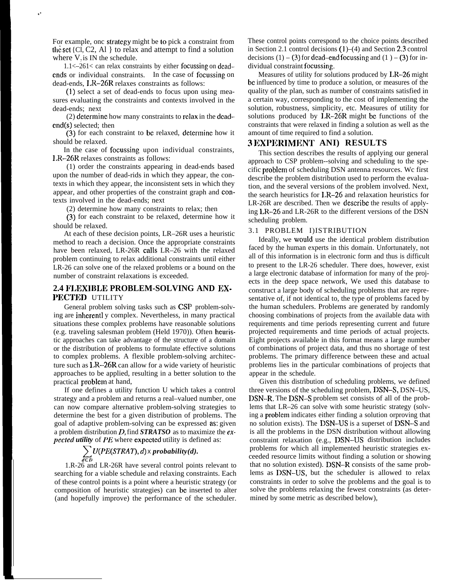For example, onc strategy might be to pick a constraint from the set  $\{Cl, C2, Al\}$  to relax and attempt to find a solution where  $V_7$  is IN the schedule.

. .

1.1<–261< can relax constraints by either focussing on dcadcnds or individual constraints. In the case of focussing on dead-ends, LR-–26R relaxes constraints as follows:

(1) select a set of dead-ends to focus upon using measures evaluating the constraints and contexts involved in the dead-ends; next

(2) dctcrminc how many constraints to relax in the dcadcnd(s) selected; then

(3) for each constraint to bc relaxed, dctcrminc how it should be relaxed.

In the case of focussing upon individual constraints, 1.R–26R relaxes constraints as follows:

(1) order the constraints appearing in dead-ends based upon the number of dead-rids in which they appear, the contexts in which they appear, the inconsistent sets in which they appear, and other properties of the constraint graph and contexts involved in the dead-ends; next

(2) determine how many constraints to relax; then

(3) for each constraint to be relaxed, determine how it should be relaxed.

At each of these decision points, LR–26R uses a heuristic method to reach a decision. Once the appropriate constraints have been relaxed, LR-26R calls LR–26 with the relaxed problem continuing to relax additional constraints until either LR-26 can solve one of the relaxed problems or a bound on the number of constraint relaxations is exceeded.

# **2.4 IU.EXIBLE PROBLEM-SOLVING AND EX-** PECTED UTILITY

General problem solving tasks such as CSP problem-solving are inhcrentl y complex. Nevertheless, in many practical situations these complex problems have reasonable solutions (e.g. traveling salesman problem (Held 1970)). Often heuristic approaches can take advantage of the structure of a domain or the distribution of problems to formulate effective solutions to complex problems. A flexible problem-solving architecture such as LR–26R can allow for a wide variety of heuristic approaches to be applied, resulting in a better solution to the practical problcm at hand,

If one defines a utility function U which takes a control strategy and a problem and returns a real–valued number, one can now compare alternative problem-solving strategies to determine the best for a given distribution of problems. The goal of adaptive problem-solving can be expressed as: given a problem distribution D, find *STRATSO* as to maximize the expected *utility* of *PE* where expcctcd utility is defined as:

# ~ *U(PE(STRA7),d) X probability(d). dEtI*

1.R-26 and LR-26R have several control points relevant to searching for a viable schedule and relaxing constraints. Each of these control points is a point where a heuristic strategy (or composition of heuristic strategies) can bc inserted to alter (and hopefully improve) the performance of the scheduler.

These control points correspond to the choice points described in Section 2.1 control decisions  $(1)$ – $(4)$  and Section 2.3 control decisions  $(1) - (3)$  for dead-end focussing and  $(1) - (3)$  for individual constraint focussing,

Measures of utility for solutions produced by LR–26 might bc influenced by time to produce a solution, or measures of the quality of the plan, such as number of constraints satisfied in a certain way, corresponding to the cost of implementing the solution, robustness, simplicity, etc. Measures of utility for solutions produced by LR-26R might be functions of the constraints that were relaxed in finding a solution as well as the amount of time required to find a solution.

## S **IIXI'ERIMENT ANI) RESULTS**

This section describes the results of applying our general approach to CSP problem--solving and scheduling to the specific problcm of scheduling DSN antenna resources. Wc first describe the problem distribution used to perform the evaluation, and the several versions of the problem involved. Next, the search heuristics for LR–26 and relaxation heuristics for LR-26R are described. Then we dcscribc the results of applying LR–26 and LR-26R to the different versions of the DSN scheduling problem.

### 3.1 PROBLEM I)ISTRIBUTION

Ideally, we would use the identical problem distribution faced by the human experts in this domain. Unfortunately, not all of this information is in electronic form and thus is difficult to present to the LR-26 scheduler. There does, however, exist a large electronic database of information for many of the projects in the deep space network, We used this database to construct a large body of scheduling problems that are representative of, if not identical to, the type of problems faced by the human schedulers. Problems are generated by randomly choosing combinations of projects from the available data with requirements and time periods representing current and future projected requirements and time periods of actual projects. Eight projects available in this format means a large number of combinations of project data, and thus no shortage of test problems. The primary difference between these and actual problems lies in the particular combinations of projects that appear in the schedule.

Given this distribution of scheduling problems, we defined three versions of the scheduling problem, DSN–S, DSN–US, DSN-R. The DSN-S problem set consists of all of the problems that LR–26 can solve with some heuristic strategy (solving a problcm indicates either finding a solution orproving that no solution exists). The DSN–US is a superset of DSN–S and is all the problems in the DSN distribution without allowing constraint relaxation (e.g., DSN-US distribution includes problems for which all implemented heuristic strategies exceeded resource limits without finding a solution or showing that no solution existed). DSN–R consists of the same problems as DSN–US, but the scheduler is allowed to relax constraints in order to solve the problems and the goal is to solve the problems relaxing the fewest constraints (as determined by some metric as described below),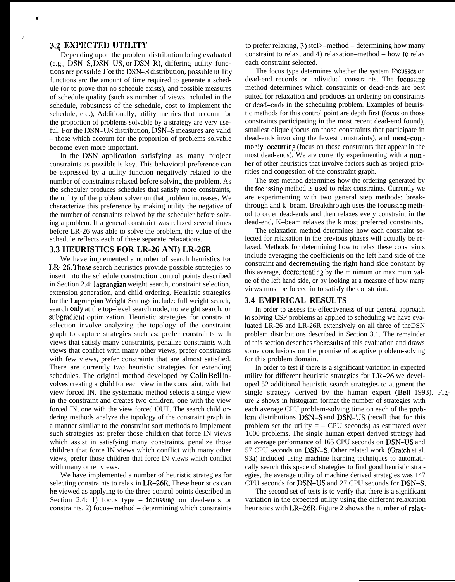# **X+ ]IX]']2CTII])** *UT]].ITY*

● **'**

**.'**

Depending upon the problem distribution being evaluated (e.g., DSN-S, DSN-US, or DSN-R), differing utility functions arepossiblc. For the DSN-S distribution, possiblcutility functions arc the amount of time required to generate a schedule (or to prove that no schedule exists), and possible measures of schedule quality (such as number of views included in the schedule, robustness of the schedule, cost to implement the schedule, etc.), Additionally, utility metrics that account for the proportion of problems solvable by a strategy are very useful. For the DSN-US distribution, DSN–S measures are valid – those which account for the proportion of problems solvable become even more important.

In the DSN application satisfying as many project constraints as possible is key. This behavioral preference can be expressed by a utility function negatively related to the number of constraints relaxed before solving the problem. As the scheduler produces schedules that satisfy more constraints, the utility of the problem solver on that problem increases. We characterize this preference by making utility the negative of the number of constraints relaxed by the scheduler before solving a problem. If a general constraint was relaxed several times before LR-26 was able to solve the problem, the value of the schedule reflects each of these separate relaxations.

### **3.3 HEURISTICS FOR LR-26 ANI) LR-26R**

We have implemented a number of search heuristics for 1.R–26. '1'hcse search heuristics provide possible strategies to insert into the schedule construction control points described in Section 2.4: lagrangian weight search, constraint selection, extension generation, and child ordering. Heuristic strategies for the Lagrangian Weight Settings include: full weight search, search only at the top–level search node, no weight search, or subgradient optimization. Heuristic strategies for constraint selection involve analyzing the topology of the constraint graph to capture strategies such as: prefer constraints with views that satisfy many constraints, penalize constraints with views that conflict with many other views, prefer constraints with few views, prefer constraints that are almost satisfied. There are currently two heuristic strategies for extending schedules. The original method developed by Colin Bell involves creating a child for each view in the constraint, with that view forced IN. The systematic method selects a single view in the constraint and creates two children, one with the view forced IN, one with the view forced OUT. The search child ordering methods analyze the topology of the constraint graph in a manner similar to the constraint sort methods to implement such strategies as: prefer those children that force IN views which assist in satisfying many constraints, penalize those children that force IN views which conflict with many other views, prefer those children that force IN views which conflict with many other views.

We have implemented a number of heuristic strategies for selecting constraints to relax in LR-26R, These heuristics can bc viewed as applying to the three control points described in Section 2.4: 1) focus type – focussing on dead-ends or constraints, 2) focus–method – determining which constraints to prefer relaxing, 3) stcI>–method – determining how many constraint to relax, and 4) relaxation–method – how to relax each constraint selected.

The focus type determines whether the system foeusses on dead-end records or individual constraints. The focussing method determines which constraints or dead-ends are best suited for relaxation and produces an ordering on constraints or dead-ends in the scheduling problem. Examples of heuristic methods for this control point are depth first (focus on those constraints participating in the most recent dead-end found), smallest clique (focus on those constraints that participate in dead-ends involving the fewest constraints), and most-commonly--occurring (focus on those constraints that appear in the most dead-ends). We are currently experimenting with a number of other heuristics that involve factors such as project priorities and congestion of the constraint graph.

The step method determines how the ordering generated by the focussing method is used to relax constraints. Currently we are experimenting with two general step methods: breakthrough and k–beam. Breakthrough uses the focussing method to order dead-ends and then relaxes every constraint in the dead-end, K–beam relaxes the k most preferred constraints.

The relaxation method determines how each constraint selected for relaxation in the previous phases will actually be relaxed. Methods for determining how to relax these constraints include averaging the coefficients on the left hand side of the constraint and decrementing the right hand side constant by this average, decrementing by the minimum or maximum value of the left hand side, or by looking at a measure of how many views must be forced in to satisfy the constraint.

#### **3.4 EMPIRICAL RESULTS**

In order to assess the effectiveness of our general approach to solving CSP problems as applied to scheduling we have evaluated LR-26 and LR-26R extensively on all three of theDSN problem distributions described in Section 3.1. The remainder of this section describes thcresults of this evaluation and draws some conclusions on the promise of adaptive problem-solving for this problem domain.

In order to test if there is a significant variation in expected utility for different heuristic strategies for LR-26 we developed 52 additional heuristic search strategies to augment the single strategy derived by the human expert (Bell 1993). Figure 2 shows in histogram format the number of strategies with each average CPU problem-solving time on each of the problem distributions DSN–S and DSN-US (recall that for this problem set the utility  $=$  – CPU seconds) as estimated over 1000 problems. The single human expert derived strategy had an average performance of 165 CPU seconds on DSN–US and 57 CPU seconds on DSN–S. Other related work (Gratch et al. 93a) included using machine learning techniques to automatically search this space of strategies to find good heuristic strategies, the average utility of machine derived strategies was 147 CPU seconds for DSN-US and 27 CPU seconds for DSN-S.

The second set of tests is to verify that there is a significant variation in the expected utility using the different relaxation heuristics with LR-26R. Figure 2 shows the number of relax